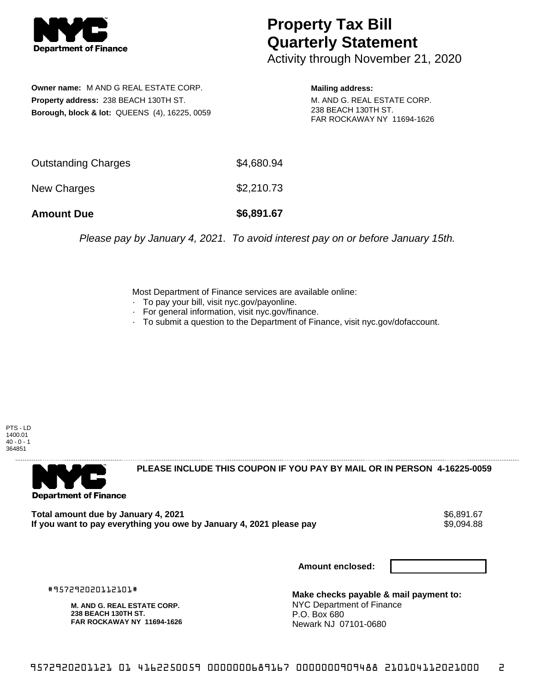

## **Property Tax Bill Quarterly Statement**

Activity through November 21, 2020

**Owner name:** M AND G REAL ESTATE CORP. **Property address:** 238 BEACH 130TH ST. **Borough, block & lot:** QUEENS (4), 16225, 0059 **Mailing address:**

M. AND G. REAL ESTATE CORP. 238 BEACH 130TH ST. FAR ROCKAWAY NY 11694-1626

| <b>Amount Due</b>   | \$6,891.67 |
|---------------------|------------|
| New Charges         | \$2,210.73 |
| Outstanding Charges | \$4,680.94 |

Please pay by January 4, 2021. To avoid interest pay on or before January 15th.

Most Department of Finance services are available online:

- · To pay your bill, visit nyc.gov/payonline.
- For general information, visit nyc.gov/finance.
- · To submit a question to the Department of Finance, visit nyc.gov/dofaccount.

PTS - LD 1400.01  $40 - 0 - 1$ 364851



**PLEASE INCLUDE THIS COUPON IF YOU PAY BY MAIL OR IN PERSON 4-16225-0059** 

**Total amount due by January 4, 2021**<br>If you want to pay everything you owe by January 4, 2021 please pay **show that the summer way** \$9,094.88 If you want to pay everything you owe by January 4, 2021 please pay

**Amount enclosed:**

#957292020112101#

**M. AND G. REAL ESTATE CORP. 238 BEACH 130TH ST. FAR ROCKAWAY NY 11694-1626**

**Make checks payable & mail payment to:** NYC Department of Finance P.O. Box 680 Newark NJ 07101-0680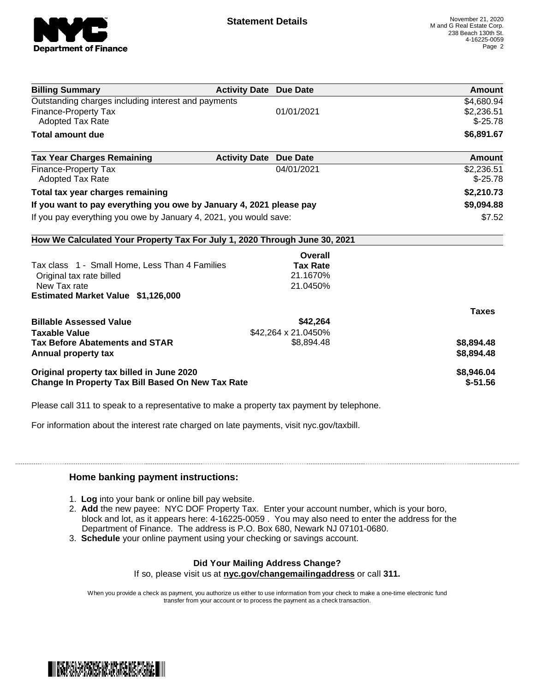

| <b>Billing Summary</b>                                                     | <b>Activity Date Due Date</b> | Amount       |
|----------------------------------------------------------------------------|-------------------------------|--------------|
| Outstanding charges including interest and payments                        |                               | \$4,680.94   |
| <b>Finance-Property Tax</b>                                                | 01/01/2021                    | \$2,236.51   |
| <b>Adopted Tax Rate</b>                                                    |                               | $$-25.78$    |
| <b>Total amount due</b>                                                    |                               | \$6,891.67   |
| <b>Tax Year Charges Remaining</b>                                          | <b>Activity Date Due Date</b> | Amount       |
| <b>Finance-Property Tax</b>                                                | 04/01/2021                    | \$2,236.51   |
| <b>Adopted Tax Rate</b>                                                    |                               | $$-25.78$    |
| Total tax year charges remaining                                           |                               | \$2,210.73   |
| If you want to pay everything you owe by January 4, 2021 please pay        |                               | \$9,094.88   |
| If you pay everything you owe by January 4, 2021, you would save:          |                               | \$7.52       |
| How We Calculated Your Property Tax For July 1, 2020 Through June 30, 2021 |                               |              |
|                                                                            | Overall                       |              |
| Tax class 1 - Small Home, Less Than 4 Families                             | <b>Tax Rate</b>               |              |
| Original tax rate billed                                                   | 21.1670%                      |              |
| New Tax rate                                                               | 21.0450%                      |              |
| <b>Estimated Market Value \$1,126,000</b>                                  |                               |              |
|                                                                            |                               | <b>Taxes</b> |
| <b>Billable Assessed Value</b>                                             | \$42,264                      |              |
| <b>Taxable Value</b>                                                       | \$42,264 x 21.0450%           |              |
| <b>Tax Before Abatements and STAR</b>                                      | \$8,894.48                    | \$8,894.48   |
| Annual property tax                                                        |                               | \$8,894.48   |
| Original property tax billed in June 2020                                  |                               | \$8,946.04   |
| Change In Property Tax Bill Based On New Tax Rate                          |                               | $$ -51.56$   |

Please call 311 to speak to a representative to make a property tax payment by telephone.

For information about the interest rate charged on late payments, visit nyc.gov/taxbill.

## **Home banking payment instructions:**

- 1. **Log** into your bank or online bill pay website.
- 2. **Add** the new payee: NYC DOF Property Tax. Enter your account number, which is your boro, block and lot, as it appears here: 4-16225-0059 . You may also need to enter the address for the Department of Finance. The address is P.O. Box 680, Newark NJ 07101-0680.
- 3. **Schedule** your online payment using your checking or savings account.

## **Did Your Mailing Address Change?**

If so, please visit us at **nyc.gov/changemailingaddress** or call **311.**

When you provide a check as payment, you authorize us either to use information from your check to make a one-time electronic fund transfer from your account or to process the payment as a check transaction.